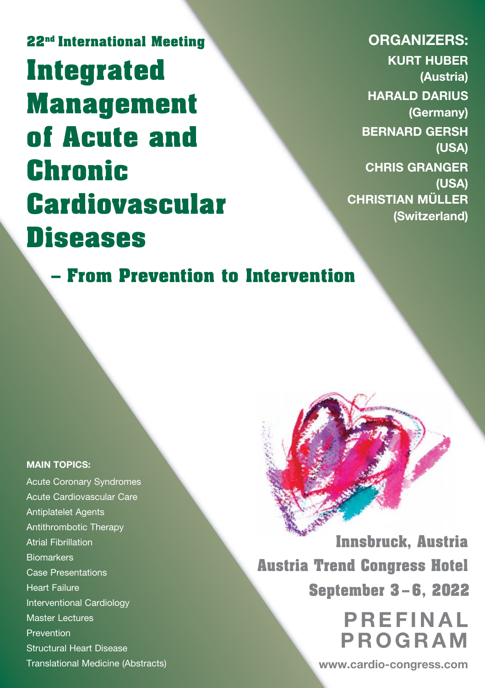**22nd International Meeting Integrated Management of Acute and Chronic Cardiovascular Diseases**

**ORGANIZERS: KURT HUBER (Austria) HARALD DARIUS (Germany) BERNARD GERSH (USA) CHRIS GRANGER (USA) CHRISTIAN MÜLLER (Switzerland)**

**– From Prevention to Intervention**

#### **MAIN TOPICS:**

Acute Coronary Syndromes Acute Cardiovascular Care Antiplatelet Agents Antithrombotic Therapy Atrial Fibrillation **Biomarkers** Case Presentations Heart Failure Interventional Cardiology Master Lectures Prevention Structural Heart Disease Translational Medicine (Abstracts)

**Innsbruck, Austria Austria Trend Congress Hotel September 3 – 6, 2022**

> **PREFINAL PROGRAM**

**www.cardio-congress.com**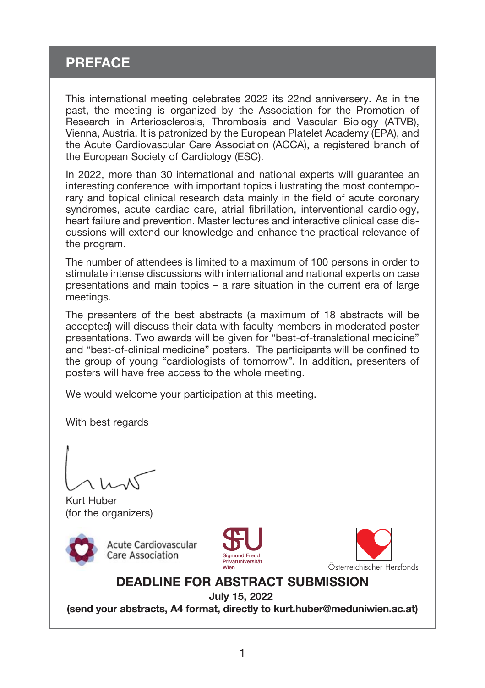## **PREFACE**

This international meeting celebrates 2022 its 22nd anniversery. As in the past, the meeting is organized by the Association for the Promotion of Research in Arteriosclerosis, Thrombosis and Vascular Biology (ATVB), Vienna, Austria. It is patronized by the European Platelet Academy (EPA), and the Acute Cardiovascular Care Association (ACCA), a registered branch of the European Society of Cardiology (ESC).

In 2022, more than 30 international and national experts will guarantee an interesting conference with important topics illustrating the most contemporary and topical clinical research data mainly in the field of acute coronary syndromes, acute cardiac care, atrial fibrillation, interventional cardiology, heart failure and prevention. Master lectures and interactive clinical case discussions will extend our knowledge and enhance the practical relevance of the program.

The number of attendees is limited to a maximum of 100 persons in order to stimulate intense discussions with international and national experts on case presentations and main topics – a rare situation in the current era of large meetings.

The presenters of the best abstracts (a maximum of 18 abstracts will be accepted) will discuss their data with faculty members in moderated poster presentations. Two awards will be given for "best-of-translational medicine" and "best-of-clinical medicine" posters. The participants will be confined to the group of young "cardiologists of tomorrow". In addition, presenters of posters will have free access to the whole meeting.

We would welcome your participation at this meeting.

With best regards

Kurt Huber (for the organizers)



**Acute Cardiovascular Care Association** 





### **DEADLINE FOR ABSTRACT SUBMISSION**

**July 15, 2022**

**(send your abstracts, A4 format, directly to kurt.huber@meduniwien.ac.at)**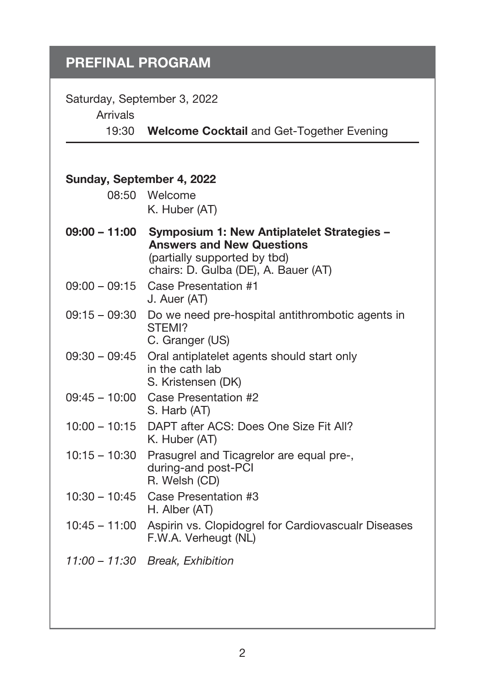Saturday, September 3, 2022

Arrivals

19:30 **Welcome Cocktail** and Get-Together Evening

| Sunday, September 4, 2022 |                                                                                                                                                               |
|---------------------------|---------------------------------------------------------------------------------------------------------------------------------------------------------------|
|                           | 08:50 Welcome<br>K. Huber (AT)                                                                                                                                |
|                           |                                                                                                                                                               |
| 09:00 – 11:00             | <b>Symposium 1: New Antiplatelet Strategies –</b><br><b>Answers and New Questions</b><br>(partially supported by tbd)<br>chairs: D. Gulba (DE), A. Bauer (AT) |
| $09:00 - 09:15$           | Case Presentation #1<br>J. Auer (AT)                                                                                                                          |
| $09:15 - 09:30$           | Do we need pre-hospital antithrombotic agents in<br>STEMI?<br>C. Granger (US)                                                                                 |
| $09:30 - 09:45$           | Oral antiplatelet agents should start only<br>in the cath lab<br>S. Kristensen (DK)                                                                           |
| $09:45 - 10:00$           | Case Presentation #2<br>S. Harb (AT)                                                                                                                          |
| $10:00 - 10:15$           | DAPT after ACS: Does One Size Fit All?<br>K. Huber (AT)                                                                                                       |
| $10:15 - 10:30$           | Prasugrel and Ticagrelor are equal pre-,<br>during-and post-PCI<br>R. Welsh (CD)                                                                              |
| 10:30 – 10:45             | Case Presentation #3<br>H. Alber (AT)                                                                                                                         |
| $10:45 - 11:00$           | Aspirin vs. Clopidogrel for Cardiovascualr Diseases<br>F.W.A. Verheugt (NL)                                                                                   |
|                           | 11:00 - 11:30 Break, Exhibition                                                                                                                               |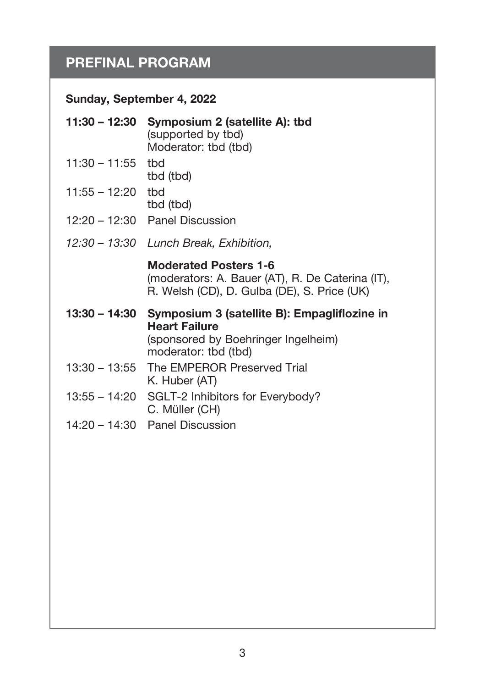### **Sunday, September 4, 2022**

|                     | 11:30 - 12:30 Symposium 2 (satellite A): tbd<br>(supported by tbd)<br>Moderator: tbd (tbd)                                          |
|---------------------|-------------------------------------------------------------------------------------------------------------------------------------|
| $11:30 - 11:55$ tbd | tbd (tbd)                                                                                                                           |
| $11:55 - 12:20$     | thd<br>tbd (tbd)                                                                                                                    |
|                     | $12:20 - 12:30$ Panel Discussion                                                                                                    |
| 12:30 – 13:30       | Lunch Break, Exhibition,                                                                                                            |
|                     | <b>Moderated Posters 1-6</b><br>(moderators: A. Bauer (AT), R. De Caterina (IT),<br>R. Welsh (CD), D. Gulba (DE), S. Price (UK)     |
| 13:30 – 14:30       | Symposium 3 (satellite B): Empagliflozine in<br><b>Heart Failure</b><br>(sponsored by Boehringer Ingelheim)<br>moderator: tbd (tbd) |
| 13:30 – 13:55       | The EMPEROR Preserved Trial<br>K. Huber (AT)                                                                                        |
|                     | 13:55 - 14:20 SGLT-2 Inhibitors for Everybody?<br>C. Müller (CH)                                                                    |
|                     | $14:20 - 14:30$ Panel Discussion                                                                                                    |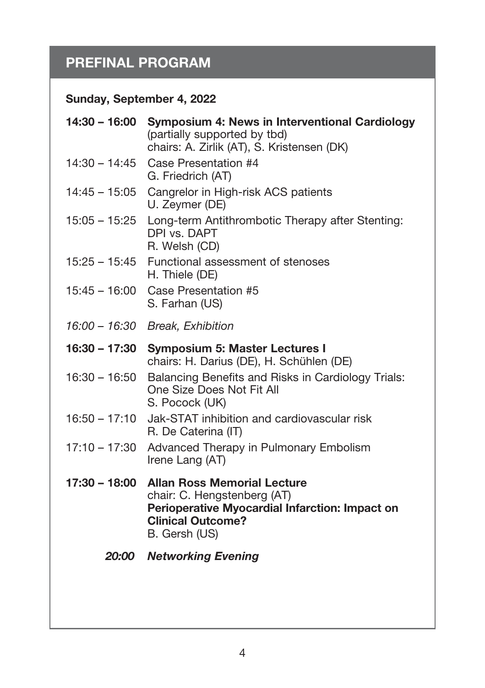## **Sunday, September 4, 2022**

| 14:30 – 16:00   | Symposium 4: News in Interventional Cardiology<br>(partially supported by tbd)<br>chairs: A. Zirlik (AT), S. Kristensen (DK)                                     |
|-----------------|------------------------------------------------------------------------------------------------------------------------------------------------------------------|
| $14:30 - 14:45$ | Case Presentation #4<br>G. Friedrich (AT)                                                                                                                        |
| 14:45 - 15:05   | Cangrelor in High-risk ACS patients<br>U. Zeymer (DE)                                                                                                            |
| 15:05 – 15:25   | Long-term Antithrombotic Therapy after Stenting:<br>DPI vs. DAPT<br>R. Welsh (CD)                                                                                |
| 15:25 – 15:45   | Functional assessment of stenoses<br>H. Thiele (DE)                                                                                                              |
| $15:45 - 16:00$ | Case Presentation #5<br>S. Farhan (US)                                                                                                                           |
|                 | 16:00 - 16:30 Break, Exhibition                                                                                                                                  |
| 16:30 – 17:30   | <b>Symposium 5: Master Lectures I</b><br>chairs: H. Darius (DE), H. Schühlen (DE)                                                                                |
| $16:30 - 16:50$ | Balancing Benefits and Risks in Cardiology Trials:<br>One Size Does Not Fit All<br>S. Pocock (UK)                                                                |
| 16:50 – 17:10   | Jak-STAT inhibition and cardiovascular risk<br>R. De Caterina (IT)                                                                                               |
| 17:10 – 17:30   | Advanced Therapy in Pulmonary Embolism<br>Irene Lang (AT)                                                                                                        |
| 17:30 - 18:00   | <b>Allan Ross Memorial Lecture</b><br>chair: C. Hengstenberg (AT)<br>Perioperative Myocardial Infarction: Impact on<br><b>Clinical Outcome?</b><br>B. Gersh (US) |
| 20:00           | <b>Networking Evening</b>                                                                                                                                        |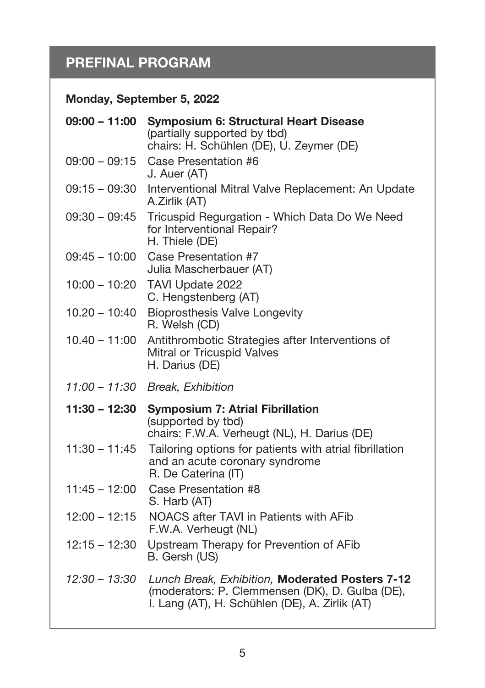## **Monday, September 5, 2022**

| $09:00 - 11:00$ | <b>Symposium 6: Structural Heart Disease</b><br>(partially supported by tbd)<br>chairs: H. Schühlen (DE), U. Zeymer (DE)                             |
|-----------------|------------------------------------------------------------------------------------------------------------------------------------------------------|
| $09:00 - 09:15$ | Case Presentation #6<br>J. Auer (AT)                                                                                                                 |
| $09:15 - 09:30$ | Interventional Mitral Valve Replacement: An Update<br>A.Zirlik (AT)                                                                                  |
| $09:30 - 09:45$ | Tricuspid Regurgation - Which Data Do We Need<br>for Interventional Repair?<br>H. Thiele (DE)                                                        |
| $09:45 - 10:00$ | Case Presentation #7<br>Julia Mascherbauer (AT)                                                                                                      |
| 10:00 - 10:20   | TAVI Update 2022<br>C. Hengstenberg (AT)                                                                                                             |
| $10.20 - 10:40$ | <b>Bioprosthesis Valve Longevity</b><br>R. Welsh (CD)                                                                                                |
| $10.40 - 11:00$ | Antithrombotic Strategies after Interventions of<br>Mitral or Tricuspid Valves<br>H. Darius (DE)                                                     |
|                 | 11:00 - 11:30 Break, Exhibition                                                                                                                      |
| $11:30 - 12:30$ | <b>Symposium 7: Atrial Fibrillation</b><br>(supported by tbd)<br>chairs: F.W.A. Verheugt (NL), H. Darius (DE)                                        |
| $11:30 - 11:45$ | Tailoring options for patients with atrial fibrillation<br>and an acute coronary syndrome<br>R. De Caterina (IT)                                     |
| $11:45 - 12:00$ | Case Presentation #8<br>S. Harb (AT)                                                                                                                 |
| $12:00 - 12:15$ | NOACS after TAVI in Patients with AFib<br>F.W.A. Verheugt (NL)                                                                                       |
| $12:15 - 12:30$ | Upstream Therapy for Prevention of AFib<br>B. Gersh (US)                                                                                             |
| $12:30 - 13:30$ | Lunch Break, Exhibition, Moderated Posters 7-12<br>(moderators: P. Clemmensen (DK), D. Gulba (DE),<br>I. Lang (AT), H. Schühlen (DE), A. Zirlik (AT) |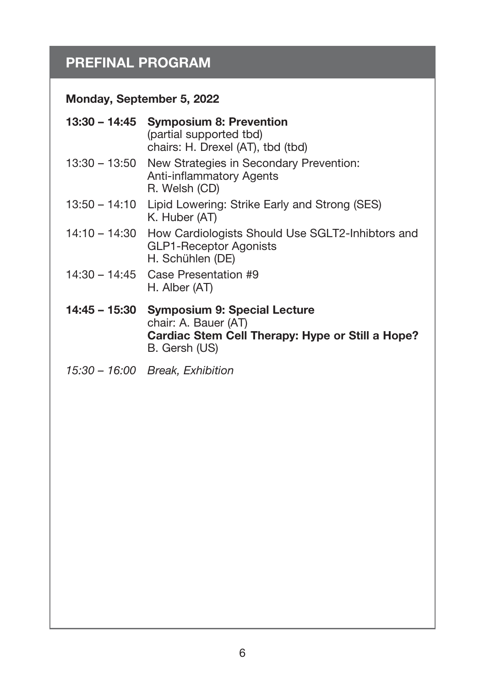## **Monday, September 5, 2022**

|                 | 13:30 – 14:45 Symposium 8: Prevention<br>(partial supported tbd)<br>chairs: H. Drexel (AT), tbd (tbd)                            |
|-----------------|----------------------------------------------------------------------------------------------------------------------------------|
|                 | 13:30 – 13:50 New Strategies in Secondary Prevention:<br>Anti-inflammatory Agents<br>R. Welsh (CD)                               |
| 13:50 – 14:10   | Lipid Lowering: Strike Early and Strong (SES)<br>K. Huber (AT)                                                                   |
| $14:10 - 14:30$ | How Cardiologists Should Use SGLT2-Inhibtors and<br><b>GLP1-Receptor Agonists</b><br>H. Schühlen (DE)                            |
|                 | $14:30 - 14:45$ Case Presentation #9<br>H. Alber (AT)                                                                            |
| 14:45 – 15:30   | <b>Symposium 9: Special Lecture</b><br>chair: A. Bauer (AT)<br>Cardiac Stem Cell Therapy: Hype or Still a Hope?<br>B. Gersh (US) |
|                 | 15:30 - 16:00 Break, Exhibition                                                                                                  |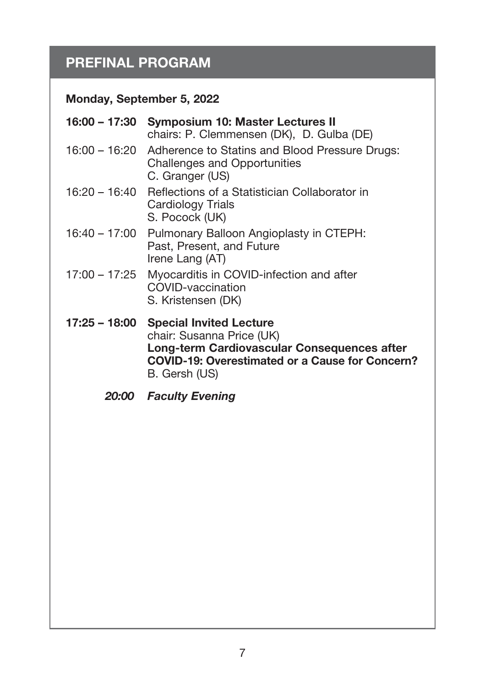## **Monday, September 5, 2022**

| 16:00 – 17:30<br><b>Symposium 10: Master Lectures II</b><br>chairs: P. Clemmensen (DK), D. Gulba (DE)                                                                                                  |
|--------------------------------------------------------------------------------------------------------------------------------------------------------------------------------------------------------|
| 16:00 - 16:20 Adherence to Statins and Blood Pressure Drugs:<br>Challenges and Opportunities<br>C. Granger (US)                                                                                        |
| 16:20 – 16:40<br>Reflections of a Statistician Collaborator in<br>Cardiology Trials<br>S. Pocock (UK)                                                                                                  |
| 16:40 – 17:00<br>Pulmonary Balloon Angioplasty in CTEPH:<br>Past, Present, and Future<br>Irene Lang (AT)                                                                                               |
| 17:00 – 17:25<br>Myocarditis in COVID-infection and after<br>COVID-vaccination<br>S. Kristensen (DK)                                                                                                   |
| 17:25 – 18:00<br><b>Special Invited Lecture</b><br>chair: Susanna Price (UK)<br>Long-term Cardiovascular Consequences after<br><b>COVID-19: Overestimated or a Cause for Concern?</b><br>B. Gersh (US) |
|                                                                                                                                                                                                        |

*20:00 Faculty Evening*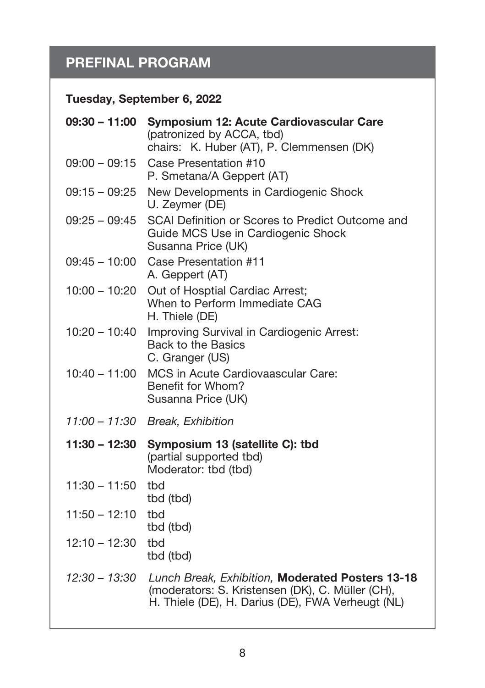### **Tuesday, September 6, 2022**

| $09:30 - 11:00$ | Symposium 12: Acute Cardiovascular Care<br>(patronized by ACCA, tbd)<br>chairs: K. Huber (AT), P. Clemmensen (DK)                                         |
|-----------------|-----------------------------------------------------------------------------------------------------------------------------------------------------------|
| $09:00 - 09:15$ | Case Presentation #10<br>P. Smetana/A Geppert (AT)                                                                                                        |
| $09:15 - 09:25$ | New Developments in Cardiogenic Shock<br>U. Zeymer (DE)                                                                                                   |
| $09:25 - 09:45$ | SCAI Definition or Scores to Predict Outcome and<br>Guide MCS Use in Cardiogenic Shock<br>Susanna Price (UK)                                              |
| $09:45 - 10:00$ | Case Presentation #11<br>A. Geppert (AT)                                                                                                                  |
| $10:00 - 10:20$ | Out of Hosptial Cardiac Arrest;<br>When to Perform Immediate CAG<br>H. Thiele (DE)                                                                        |
| $10:20 - 10:40$ | Improving Survival in Cardiogenic Arrest:<br>Back to the Basics<br>C. Granger (US)                                                                        |
| $10:40 - 11:00$ | MCS in Acute Cardiovaascular Care:<br>Benefit for Whom?<br>Susanna Price (UK)                                                                             |
| 11:00 – 11:30   | Break, Exhibition                                                                                                                                         |
| $11:30 - 12:30$ | Symposium 13 (satellite C): tbd<br>(partial supported tbd)<br>Moderator: tbd (tbd)                                                                        |
| $11:30 - 11:50$ | tbd<br>tbd (tbd)                                                                                                                                          |
| $11:50 - 12:10$ | thd<br>tbd (tbd)                                                                                                                                          |
| $12:10 - 12:30$ | tbd<br>tbd (tbd)                                                                                                                                          |
| $12:30 - 13:30$ | Lunch Break, Exhibition, Moderated Posters 13-18<br>(moderators: S. Kristensen (DK), C. Müller (CH),<br>H. Thiele (DE), H. Darius (DE), FWA Verheugt (NL) |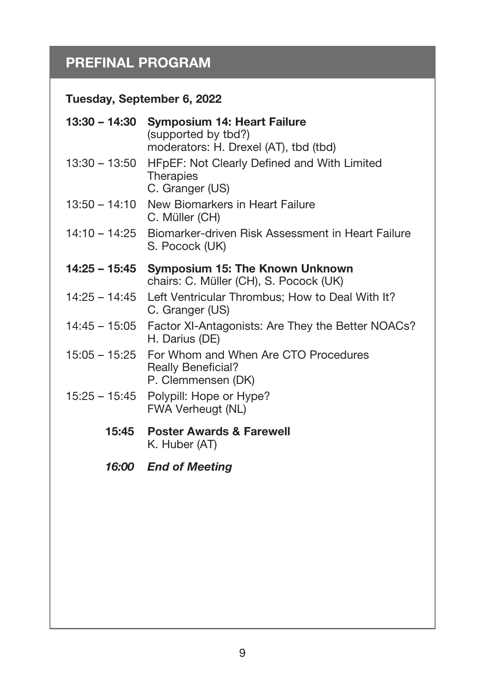## **Tuesday, September 6, 2022**

| 13:30 – 14:30 | <b>Symposium 14: Heart Failure</b><br>(supported by tbd?)                                                            |
|---------------|----------------------------------------------------------------------------------------------------------------------|
| 13:30 – 13:50 | moderators: H. Drexel (AT), tbd (tbd)<br>HFpEF: Not Clearly Defined and With Limited<br>Therapies<br>C. Granger (US) |
| 13:50 – 14:10 | New Biomarkers in Heart Failure<br>C. Müller (CH)                                                                    |
| 14:10 – 14:25 | Biomarker-driven Risk Assessment in Heart Failure<br>S. Pocock (UK)                                                  |
| 14:25 – 15:45 | Symposium 15: The Known Unknown<br>chairs: C. Müller (CH), S. Pocock (UK)                                            |
| 14:25 – 14:45 | Left Ventricular Thrombus; How to Deal With It?<br>C. Granger (US)                                                   |
| 14:45 – 15:05 | Factor XI-Antagonists: Are They the Better NOACs?<br>H. Darius (DE)                                                  |
|               | 15:05 - 15:25 For Whom and When Are CTO Procedures<br><b>Really Beneficial?</b><br>P. Clemmensen (DK)                |
| 15:25 – 15:45 | Polypill: Hope or Hype?<br>FWA Verheugt (NL)                                                                         |
| 15:45         | <b>Poster Awards &amp; Farewell</b><br>K. Huber (AT)                                                                 |
|               | 16:00 End of Meeting                                                                                                 |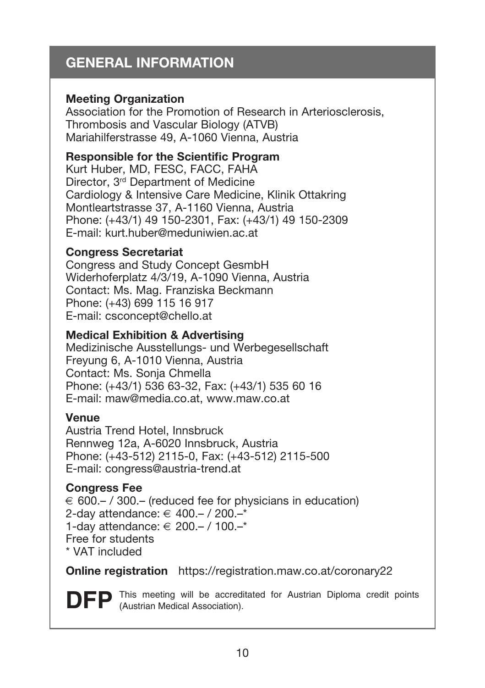## **GENERAL INFORMATION**

#### **Meeting Organization**

Association for the Promotion of Research in Arteriosclerosis, Thrombosis and Vascular Biology (ATVB) Mariahilferstrasse 49, A-1060 Vienna, Austria

#### **Responsible for the Scientific Program**

Kurt Huber, MD, FESC, FACC, FAHA Director, 3<sup>rd</sup> Department of Medicine Cardiology & Intensive Care Medicine, Klinik Ottakring Montleartstrasse 37, A-1160 Vienna, Austria Phone: (+43/1) 49 150-2301, Fax: (+43/1) 49 150-2309 E-mail: kurt.huber@meduniwien.ac.at

#### **Congress Secretariat**

Congress and Study Concept GesmbH Widerhoferplatz 4/3/19, A-1090 Vienna, Austria Contact: Ms. Mag. Franziska Beckmann Phone: (+43) 699 115 16 917 E-mail: csconcept@chello.at

#### **Medical Exhibition & Advertising**

Medizinische Ausstellungs- und Werbegesellschaft Freyung 6, A-1010 Vienna, Austria Contact: Ms. Sonja Chmella Phone: (+43/1) 536 63-32, Fax: (+43/1) 535 60 16 E-mail: maw@media.co.at, www.maw.co.at

#### **Venue**

Austria Trend Hotel, Innsbruck Rennweg 12a, A-6020 Innsbruck, Austria Phone: (+43-512) 2115-0, Fax: (+43-512) 2115-500 E-mail: congress@austria-trend.at

#### **Congress Fee**

 $\epsilon$  600 – / 300 – (reduced fee for physicians in education) 2-day attendance: € 400.– / 200.–\* 1-day attendance: € 200.– / 100.–\* Free for students \* VAT included

**Online registration** https://registration.maw.co.at/coronary22

**DFP** This meeting will be accreditated for Austrian Diploma credit points (Austrian Medical Association).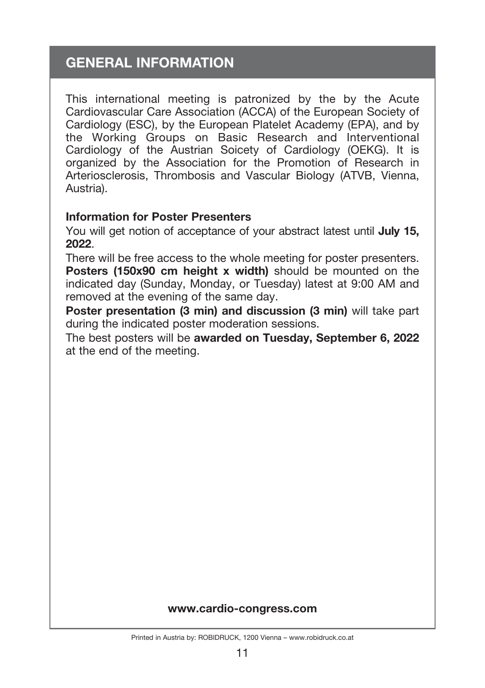## **GENERAL INFORMATION**

This international meeting is patronized by the by the Acute Cardiovascular Care Association (ACCA) of the European Society of Cardiology (ESC), by the European Platelet Academy (EPA), and by the Working Groups on Basic Research and Interventional Cardiology of the Austrian Soicety of Cardiology (OEKG). It is organized by the Association for the Promotion of Research in Arteriosclerosis, Thrombosis and Vascular Biology (ATVB, Vienna, Austria).

#### **Information for Poster Presenters**

You will get notion of acceptance of your abstract latest until **July 15, 2022**.

There will be free access to the whole meeting for poster presenters. **Posters (150x90 cm height x width)** should be mounted on the indicated day (Sunday, Monday, or Tuesday) latest at 9:00 AM and removed at the evening of the same day.

**Poster presentation (3 min) and discussion (3 min)** will take part during the indicated poster moderation sessions.

The best posters will be **awarded on Tuesday, September 6, 2022** at the end of the meeting.

#### **www.cardio-congress.com**